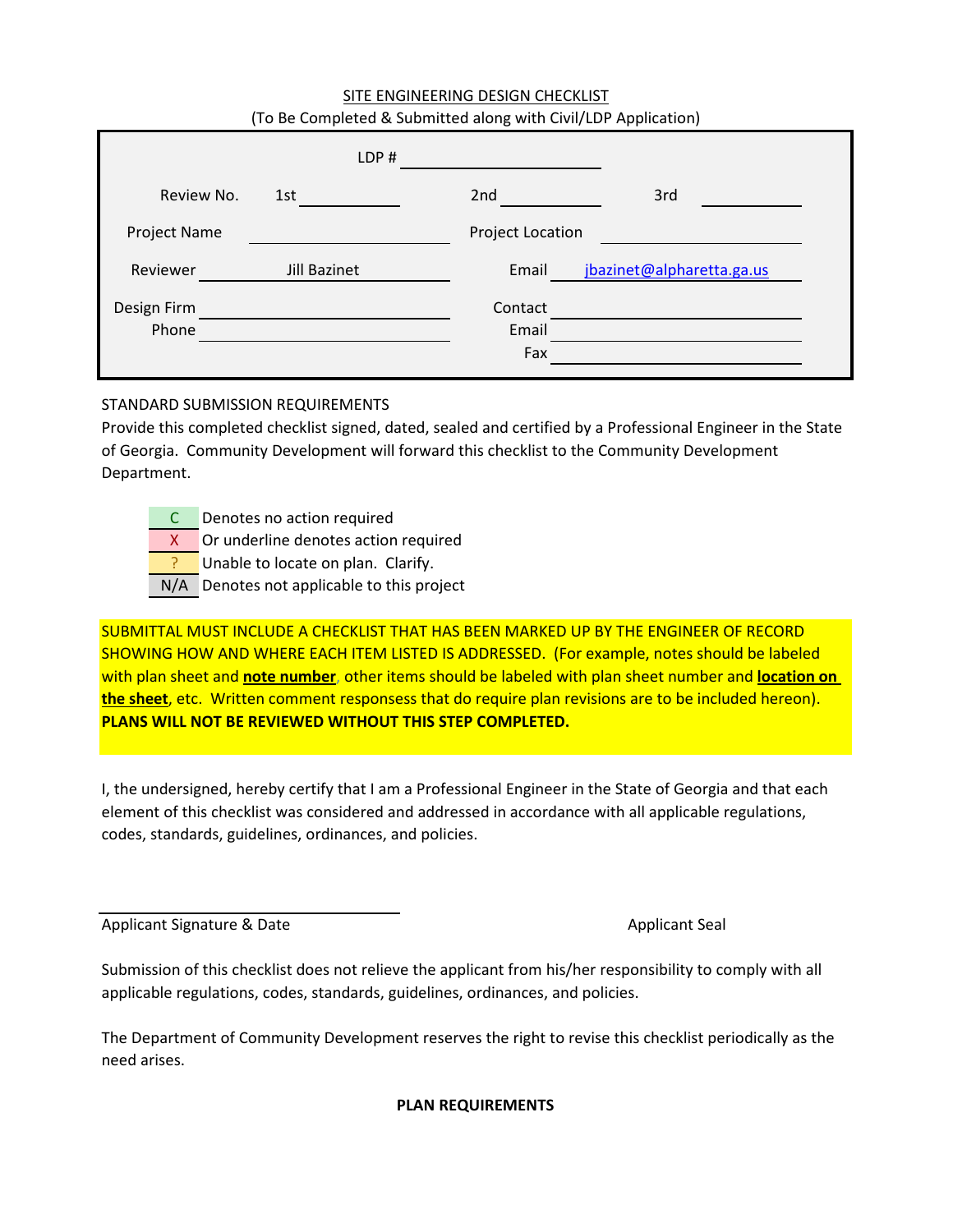#### SITE ENGINEERING DESIGN CHECKLIST (To Be Completed & Submitted along with Civil/LDP Application)

|              | LDP#         |                         |                           |
|--------------|--------------|-------------------------|---------------------------|
| Review No.   | 1st          | 2nd                     | 3rd                       |
| Project Name |              | <b>Project Location</b> |                           |
| Reviewer     | Jill Bazinet | Email                   | jbazinet@alpharetta.ga.us |
| Design Firm  |              | Contact                 |                           |
| Phone        |              | Email                   |                           |
|              |              | Fax                     |                           |

### STANDARD SUBMISSION REQUIREMENTS

Provide this completed checklist signed, dated, sealed and certified by a Professional Engineer in the State of Georgia. Community Development will forward this checklist to the Community Development Department.

C Denotes no action required

X Or underline denotes action required

? Unable to locate on plan. Clarify.

N/A Denotes not applicable to this project

SUBMITTAL MUST INCLUDE A CHECKLIST THAT HAS BEEN MARKED UP BY THE ENGINEER OF RECORD SHOWING HOW AND WHERE EACH ITEM LISTED IS ADDRESSED. (For example, notes should be labeled with plan sheet and **note number**, other items should be labeled with plan sheet number and **location on the sheet**, etc. Written comment responsess that do require plan revisions are to be included hereon). **PLANS WILL NOT BE REVIEWED WITHOUT THIS STEP COMPLETED.**

I, the undersigned, hereby certify that I am a Professional Engineer in the State of Georgia and that each element of this checklist was considered and addressed in accordance with all applicable regulations, codes, standards, guidelines, ordinances, and policies.

Applicant Signature & Date Applicant Seal Applicant Seal Applicant Seal Applicant Seal Applicant Seal Applicant Seal

Submission of this checklist does not relieve the applicant from his/her responsibility to comply with all applicable regulations, codes, standards, guidelines, ordinances, and policies.

The Department of Community Development reserves the right to revise this checklist periodically as the need arises.

**PLAN REQUIREMENTS**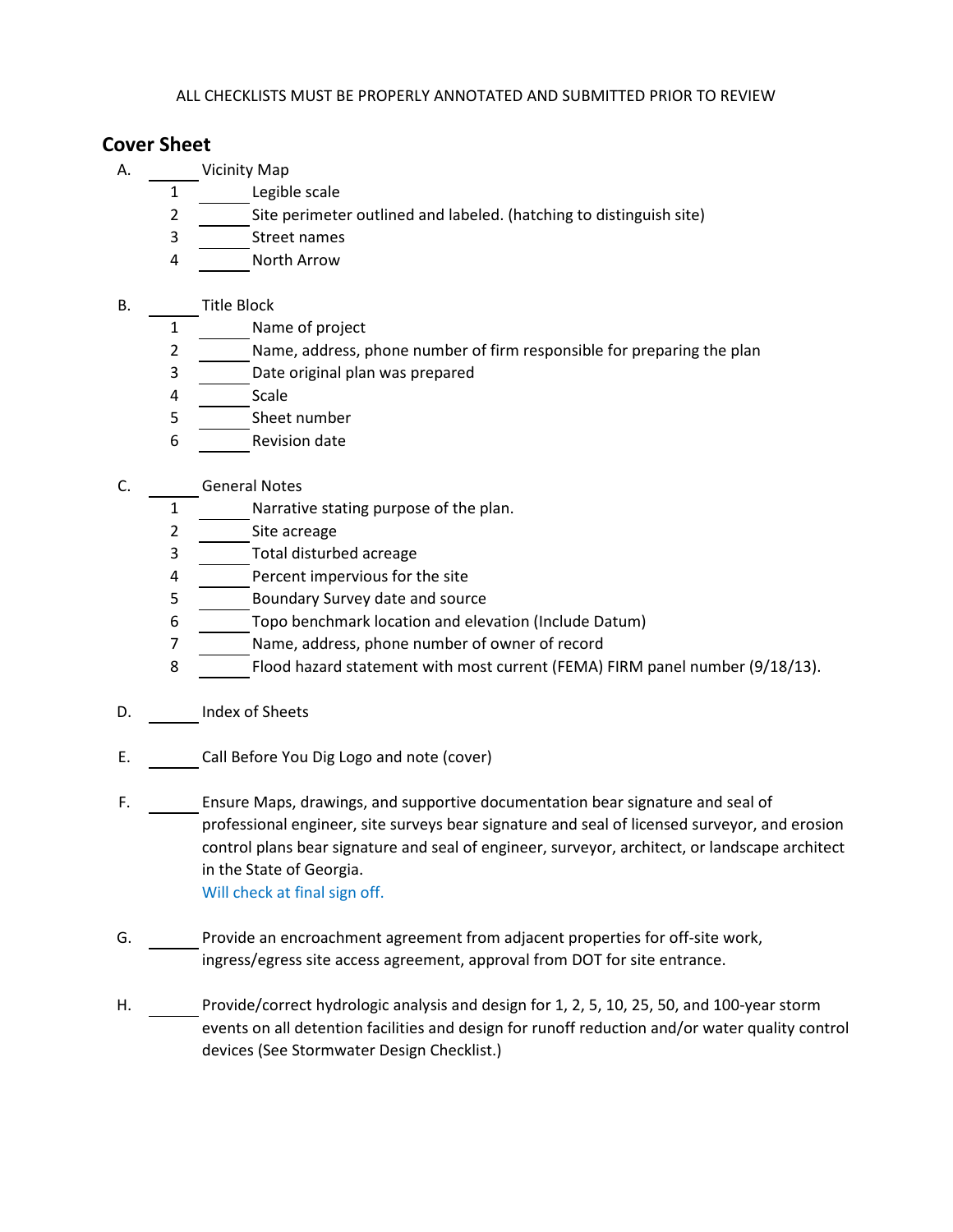## **Cover Sheet**

- A. Vicinity Map
	- 1 Legible scale
	- 2 Site perimeter outlined and labeled. (hatching to distinguish site)
	- 3 Street names
	- 4 North Arrow
- B. Title Block
	- 1 Name of project
	- 2 Name, address, phone number of firm responsible for preparing the plan
	- 3 Date original plan was prepared
	- 4 Scale
	- 5 Sheet number
	- 6 Revision date
- C. General Notes
	- 1 Narrative stating purpose of the plan.
	- 2 Site acreage
	- 3 Total disturbed acreage
	- 4 Percent impervious for the site
	- 5 Boundary Survey date and source
	- 6 Topo benchmark location and elevation (Include Datum)
	- 7 Name, address, phone number of owner of record
	- 8 Flood hazard statement with most current (FEMA) FIRM panel number (9/18/13).
- D. Index of Sheets
- E. Call Before You Dig Logo and note (cover)
- F. Ensure Maps, drawings, and supportive documentation bear signature and seal of professional engineer, site surveys bear signature and seal of licensed surveyor, and erosion control plans bear signature and seal of engineer, surveyor, architect, or landscape architect in the State of Georgia. Will check at final sign off.
- G. Provide an encroachment agreement from adjacent properties for off-site work, ingress/egress site access agreement, approval from DOT for site entrance.
- H. Provide/correct hydrologic analysis and design for 1, 2, 5, 10, 25, 50, and 100-year storm events on all detention facilities and design for runoff reduction and/or water quality control devices (See Stormwater Design Checklist.)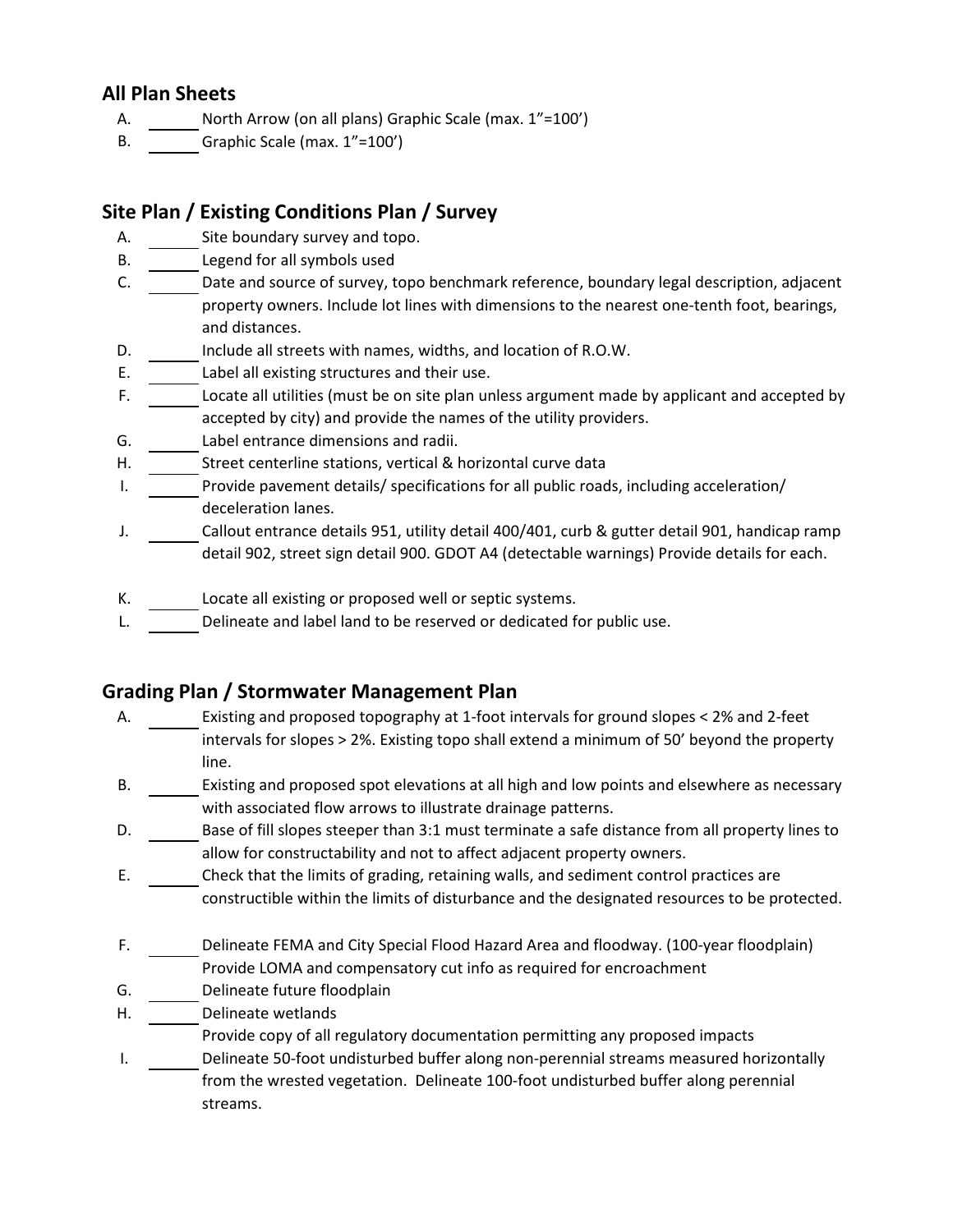## **All Plan Sheets**

- A. North Arrow (on all plans) Graphic Scale (max. 1"=100')
- B. Graphic Scale (max. 1"=100')

# **Site Plan / Existing Conditions Plan / Survey**

- A. Site boundary survey and topo.
- B. Legend for all symbols used
- C. Date and source of survey, topo benchmark reference, boundary legal description, adjacent property owners. Include lot lines with dimensions to the nearest one-tenth foot, bearings, and distances.
- D. Include all streets with names, widths, and location of R.O.W.
- E. Label all existing structures and their use.
- F. Locate all utilities (must be on site plan unless argument made by applicant and accepted by accepted by city) and provide the names of the utility providers.
- G. Label entrance dimensions and radii.
- H. Street centerline stations, vertical & horizontal curve data
- I. Provide pavement details/ specifications for all public roads, including acceleration/ deceleration lanes.
- J. Callout entrance details 951, utility detail 400/401, curb & gutter detail 901, handicap ramp detail 902, street sign detail 900. GDOT A4 (detectable warnings) Provide details for each.
- K. Locate all existing or proposed well or septic systems.
- L. Delineate and label land to be reserved or dedicated for public use.

## **Grading Plan / Stormwater Management Plan**

- A. Existing and proposed topography at 1-foot intervals for ground slopes < 2% and 2-feet intervals for slopes > 2%. Existing topo shall extend a minimum of 50' beyond the property line.
- B. Existing and proposed spot elevations at all high and low points and elsewhere as necessary with associated flow arrows to illustrate drainage patterns.
- D. Base of fill slopes steeper than 3:1 must terminate a safe distance from all property lines to allow for constructability and not to affect adjacent property owners.
- E. Check that the limits of grading, retaining walls, and sediment control practices are constructible within the limits of disturbance and the designated resources to be protected.
- F. Delineate FEMA and City Special Flood Hazard Area and floodway. (100-year floodplain) Provide LOMA and compensatory cut info as required for encroachment
- G. Delineate future floodplain
- H. Delineate wetlands
	- Provide copy of all regulatory documentation permitting any proposed impacts
- I. Delineate 50-foot undisturbed buffer along non-perennial streams measured horizontally from the wrested vegetation. Delineate 100-foot undisturbed buffer along perennial streams.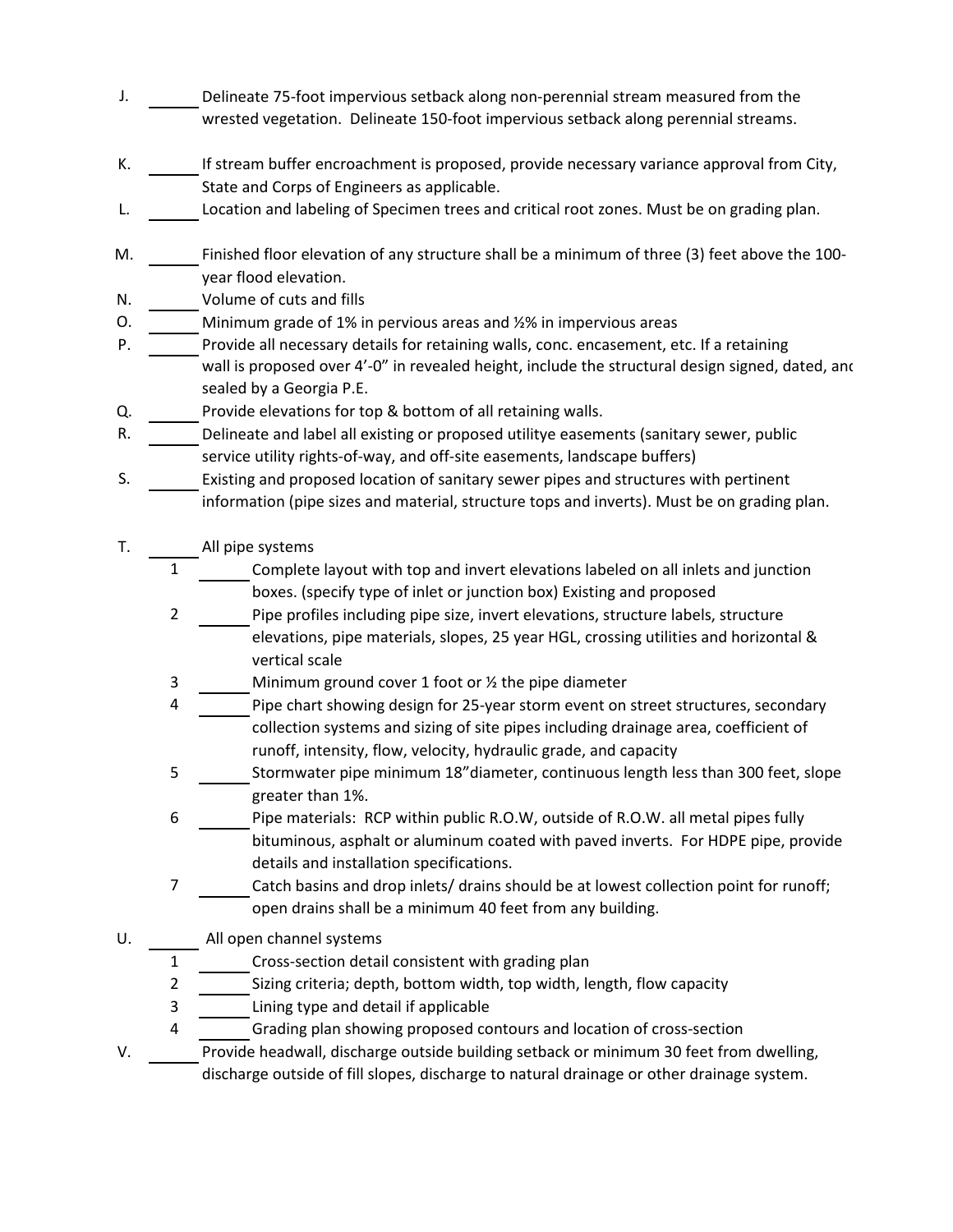- J. Delineate 75-foot impervious setback along non-perennial stream measured from the wrested vegetation. Delineate 150-foot impervious setback along perennial streams.
- K. If stream buffer encroachment is proposed, provide necessary variance approval from City, State and Corps of Engineers as applicable.
- L. Location and labeling of Specimen trees and critical root zones. Must be on grading plan.
- M. Finished floor elevation of any structure shall be a minimum of three (3) feet above the 100 year flood elevation.
- N. Volume of cuts and fills
- O. Minimum grade of 1% in pervious areas and ½% in impervious areas
- P. Provide all necessary details for retaining walls, conc. encasement, etc. If a retaining wall is proposed over 4'-0" in revealed height, include the structural design signed, dated, and sealed by a Georgia P.E.
- Q. Provide elevations for top & bottom of all retaining walls.
- R. Delineate and label all existing or proposed utilitye easements (sanitary sewer, public service utility rights-of-way, and off-site easements, landscape buffers)
- S. Existing and proposed location of sanitary sewer pipes and structures with pertinent information (pipe sizes and material, structure tops and inverts). Must be on grading plan.
- T. All pipe systems
	- 1 Complete layout with top and invert elevations labeled on all inlets and junction boxes. (specify type of inlet or junction box) Existing and proposed
	- 2 Pipe profiles including pipe size, invert elevations, structure labels, structure elevations, pipe materials, slopes, 25 year HGL, crossing utilities and horizontal & vertical scale
	- 3 Minimum ground cover 1 foot or ½ the pipe diameter
	- 4 Pipe chart showing design for 25-year storm event on street structures, secondary collection systems and sizing of site pipes including drainage area, coefficient of runoff, intensity, flow, velocity, hydraulic grade, and capacity
	- 5 Stormwater pipe minimum 18"diameter, continuous length less than 300 feet, slope greater than 1%.
	- 6 Pipe materials: RCP within public R.O.W, outside of R.O.W. all metal pipes fully bituminous, asphalt or aluminum coated with paved inverts. For HDPE pipe, provide details and installation specifications.
	- 7 Catch basins and drop inlets/ drains should be at lowest collection point for runoff; open drains shall be a minimum 40 feet from any building.
- U. All open channel systems
	- 1 Cross-section detail consistent with grading plan
	- 2 Sizing criteria; depth, bottom width, top width, length, flow capacity
	- 3 Lining type and detail if applicable
	- 4 Grading plan showing proposed contours and location of cross-section
- V. Provide headwall, discharge outside building setback or minimum 30 feet from dwelling, discharge outside of fill slopes, discharge to natural drainage or other drainage system.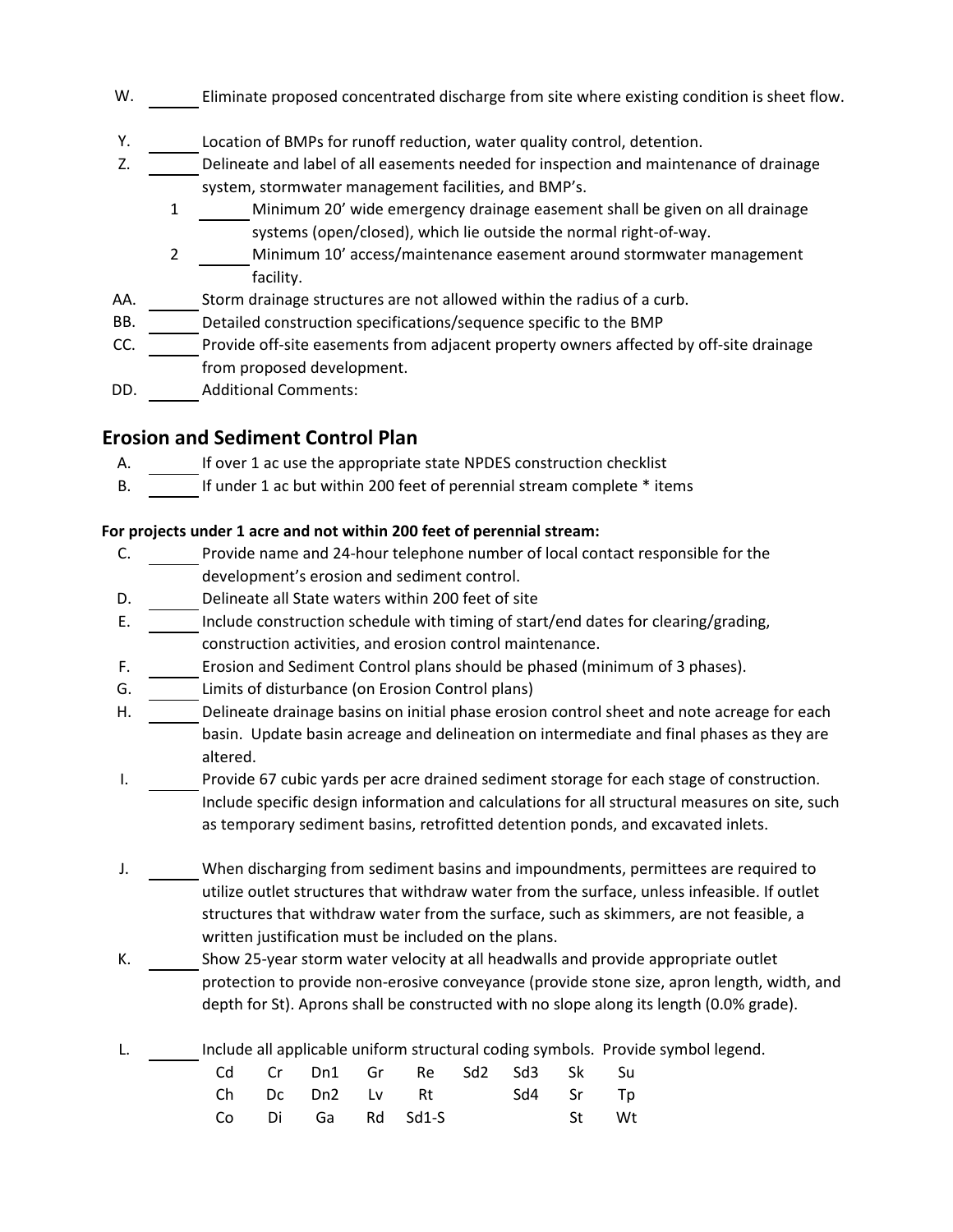- W. Eliminate proposed concentrated discharge from site where existing condition is sheet flow.
- Y. Location of BMPs for runoff reduction, water quality control, detention.
- Z. Delineate and label of all easements needed for inspection and maintenance of drainage system, stormwater management facilities, and BMP's.
	- 1 Minimum 20' wide emergency drainage easement shall be given on all drainage systems (open/closed), which lie outside the normal right-of-way.
	- 2 Minimum 10' access/maintenance easement around stormwater management facility.
- AA. Storm drainage structures are not allowed within the radius of a curb.
- BB. Detailed construction specifications/sequence specific to the BMP
- CC. Provide off-site easements from adjacent property owners affected by off-site drainage from proposed development.
- DD. Additional Comments:

### **Erosion and Sediment Control Plan**

- A. If over 1 ac use the appropriate state NPDES construction checklist
- B. If under 1 ac but within 200 feet of perennial stream complete \* items

#### **For projects under 1 acre and not within 200 feet of perennial stream:**

- C. Provide name and 24-hour telephone number of local contact responsible for the development's erosion and sediment control.
- D. Delineate all State waters within 200 feet of site
- E. Include construction schedule with timing of start/end dates for clearing/grading, construction activities, and erosion control maintenance.
- F. Erosion and Sediment Control plans should be phased (minimum of 3 phases).
- G. Limits of disturbance (on Erosion Control plans)
- H. Delineate drainage basins on initial phase erosion control sheet and note acreage for each basin. Update basin acreage and delineation on intermediate and final phases as they are altered.
- I. Provide 67 cubic yards per acre drained sediment storage for each stage of construction. Include specific design information and calculations for all structural measures on site, such as temporary sediment basins, retrofitted detention ponds, and excavated inlets.
- J. When discharging from sediment basins and impoundments, permittees are required to utilize outlet structures that withdraw water from the surface, unless infeasible. If outlet structures that withdraw water from the surface, such as skimmers, are not feasible, a written justification must be included on the plans.
- K. Show 25-year storm water velocity at all headwalls and provide appropriate outlet protection to provide non-erosive conveyance (provide stone size, apron length, width, and depth for St). Aprons shall be constructed with no slope along its length (0.0% grade).
- L. Include all applicable uniform structural coding symbols. Provide symbol legend.

|  |  | Cd Cr Dn1 Gr Re Sd2 Sd3 Sk Su |  |       |  |
|--|--|-------------------------------|--|-------|--|
|  |  | Ch Dc Dn2 Lv Rt Sd4 Sr Tp     |  |       |  |
|  |  | Co Di Ga Rd Sd1-S             |  | St Wt |  |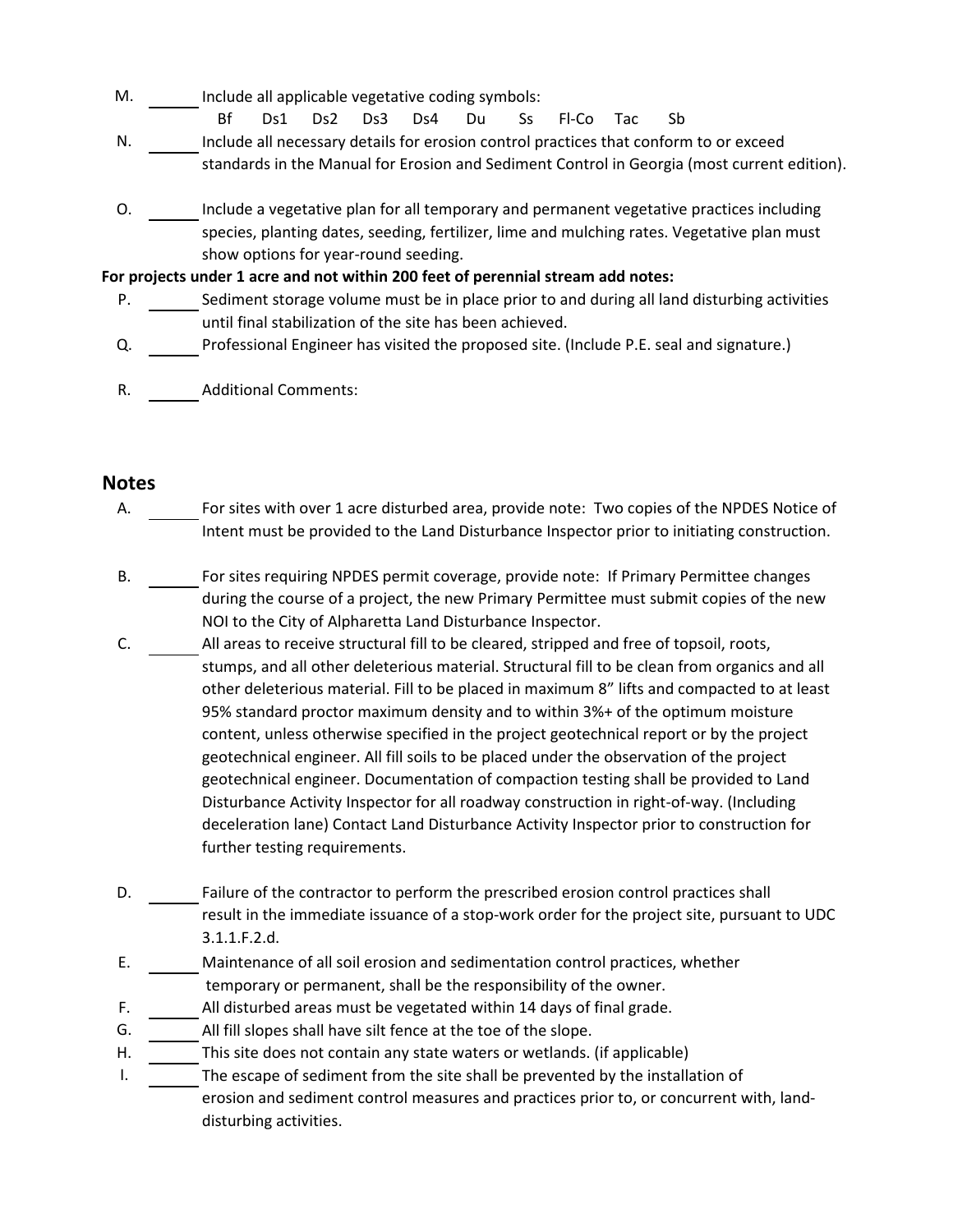- M. Include all applicable vegetative coding symbols:
	- Bf Ds1 Ds2 Ds3 Ds4 Du Ss Fl-Co Tac Sb
- N. Include all necessary details for erosion control practices that conform to or exceed standards in the Manual for Erosion and Sediment Control in Georgia (most current edition).
- O. Include a vegetative plan for all temporary and permanent vegetative practices including species, planting dates, seeding, fertilizer, lime and mulching rates. Vegetative plan must show options for year-round seeding.

#### **For projects under 1 acre and not within 200 feet of perennial stream add notes:**

- P. Sediment storage volume must be in place prior to and during all land disturbing activities until final stabilization of the site has been achieved.
- Q. Professional Engineer has visited the proposed site. (Include P.E. seal and signature.)
- R. Additional Comments:

### **Notes**

- A. For sites with over 1 acre disturbed area, provide note: Two copies of the NPDES Notice of Intent must be provided to the Land Disturbance Inspector prior to initiating construction.
- B. For sites requiring NPDES permit coverage, provide note: If Primary Permittee changes during the course of a project, the new Primary Permittee must submit copies of the new NOI to the City of Alpharetta Land Disturbance Inspector.
- C. All areas to receive structural fill to be cleared, stripped and free of topsoil, roots, stumps, and all other deleterious material. Structural fill to be clean from organics and all other deleterious material. Fill to be placed in maximum 8" lifts and compacted to at least 95% standard proctor maximum density and to within 3%+ of the optimum moisture content, unless otherwise specified in the project geotechnical report or by the project geotechnical engineer. All fill soils to be placed under the observation of the project geotechnical engineer. Documentation of compaction testing shall be provided to Land Disturbance Activity Inspector for all roadway construction in right-of-way. (Including deceleration lane) Contact Land Disturbance Activity Inspector prior to construction for further testing requirements.
- D. Failure of the contractor to perform the prescribed erosion control practices shall result in the immediate issuance of a stop-work order for the project site, pursuant to UDC 3.1.1.F.2.d.
- E. Maintenance of all soil erosion and sedimentation control practices, whether temporary or permanent, shall be the responsibility of the owner.
- F. All disturbed areas must be vegetated within 14 days of final grade.
- G. All fill slopes shall have silt fence at the toe of the slope.
- H. This site does not contain any state waters or wetlands. (if applicable)
- I. The escape of sediment from the site shall be prevented by the installation of erosion and sediment control measures and practices prior to, or concurrent with, landdisturbing activities.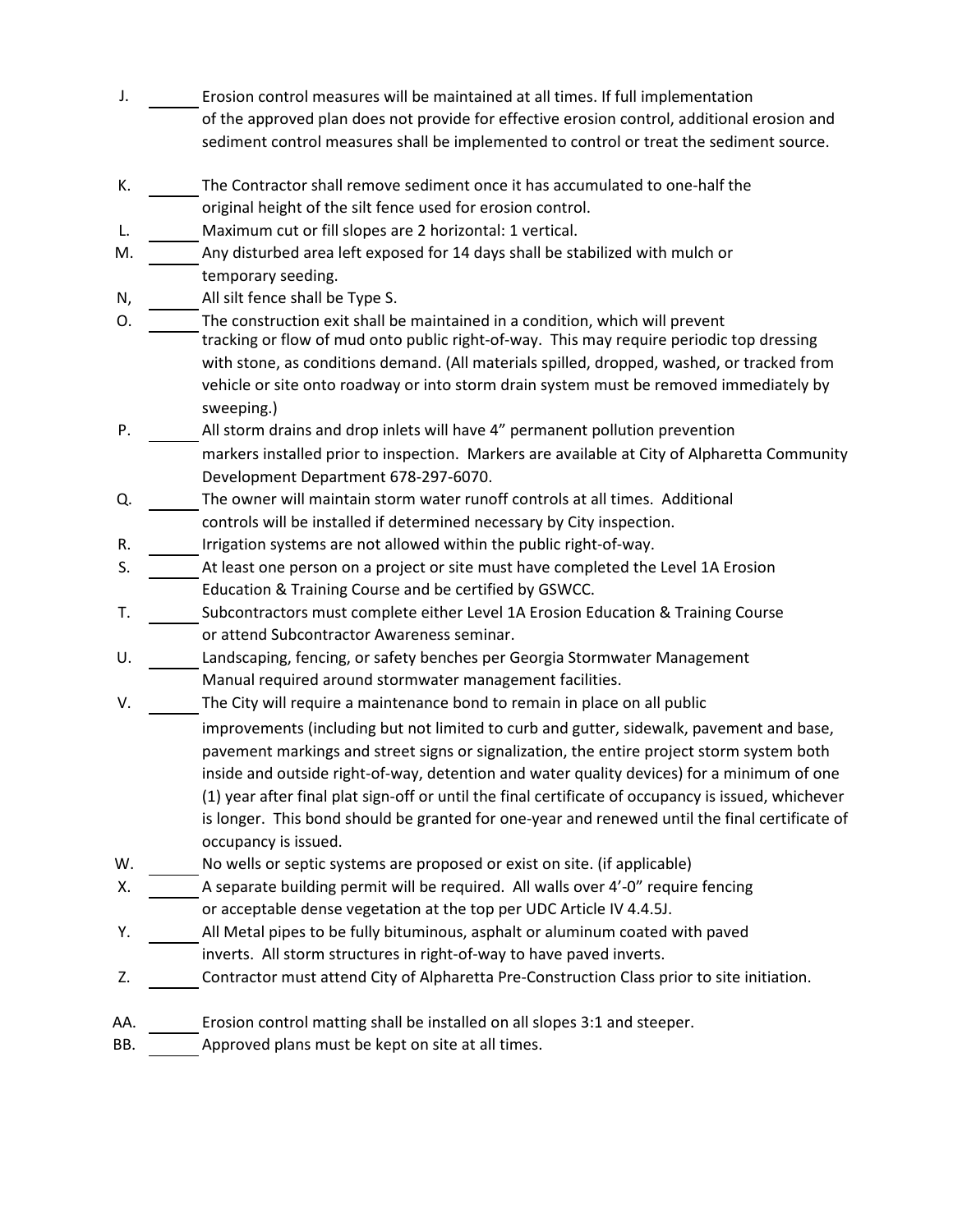- J. Erosion control measures will be maintained at all times. If full implementation of the approved plan does not provide for effective erosion control, additional erosion and sediment control measures shall be implemented to control or treat the sediment source.
- K. The Contractor shall remove sediment once it has accumulated to one-half the original height of the silt fence used for erosion control.
- L. Maximum cut or fill slopes are 2 horizontal: 1 vertical.
- M. Any disturbed area left exposed for 14 days shall be stabilized with mulch or temporary seeding.
- N, All silt fence shall be Type S.
- O. The construction exit shall be maintained in a condition, which will prevent tracking or flow of mud onto public right-of-way. This may require periodic top dressing with stone, as conditions demand. (All materials spilled, dropped, washed, or tracked from vehicle or site onto roadway or into storm drain system must be removed immediately by sweeping.)
- P. All storm drains and drop inlets will have 4" permanent pollution prevention markers installed prior to inspection. Markers are available at City of Alpharetta Community Development Department 678-297-6070.
- Q. The owner will maintain storm water runoff controls at all times. Additional controls will be installed if determined necessary by City inspection.
- R. Irrigation systems are not allowed within the public right-of-way.
- S. At least one person on a project or site must have completed the Level 1A Erosion Education & Training Course and be certified by GSWCC.
- T. Subcontractors must complete either Level 1A Erosion Education & Training Course or attend Subcontractor Awareness seminar.
- U. Landscaping, fencing, or safety benches per Georgia Stormwater Management Manual required around stormwater management facilities.
- V. The City will require a maintenance bond to remain in place on all public
	- improvements (including but not limited to curb and gutter, sidewalk, pavement and base, pavement markings and street signs or signalization, the entire project storm system both inside and outside right-of-way, detention and water quality devices) for a minimum of one (1) year after final plat sign-off or until the final certificate of occupancy is issued, whichever is longer. This bond should be granted for one-year and renewed until the final certificate of occupancy is issued.
- W. No wells or septic systems are proposed or exist on site. (if applicable)
- X. A separate building permit will be required. All walls over 4'-0" require fencing or acceptable dense vegetation at the top per UDC Article IV 4.4.5J.
- Y. All Metal pipes to be fully bituminous, asphalt or aluminum coated with paved inverts. All storm structures in right-of-way to have paved inverts.
- Z. Contractor must attend City of Alpharetta Pre-Construction Class prior to site initiation.
- AA. Erosion control matting shall be installed on all slopes 3:1 and steeper.
- BB. Approved plans must be kept on site at all times.